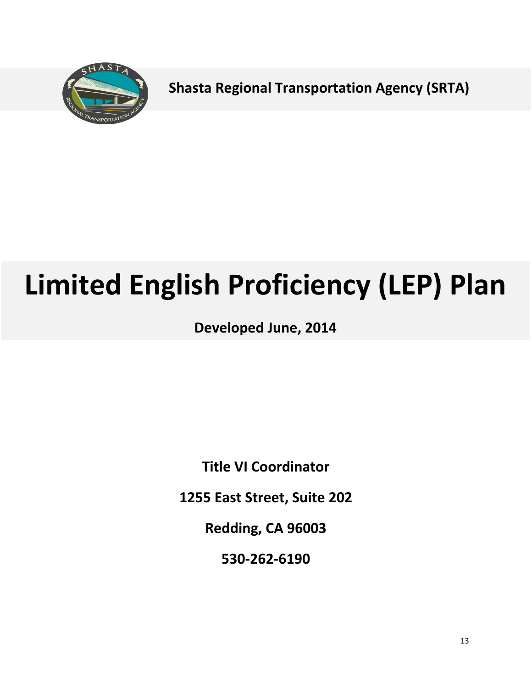

**Shasta Regional Transportation Agency (SRTA)**

# **Limited English Proficiency (LEP) Plan**

**Developed June, 2014**

**Title VI Coordinator**

**1255 East Street, Suite 202**

**Redding, CA 96003**

**530-262-6190**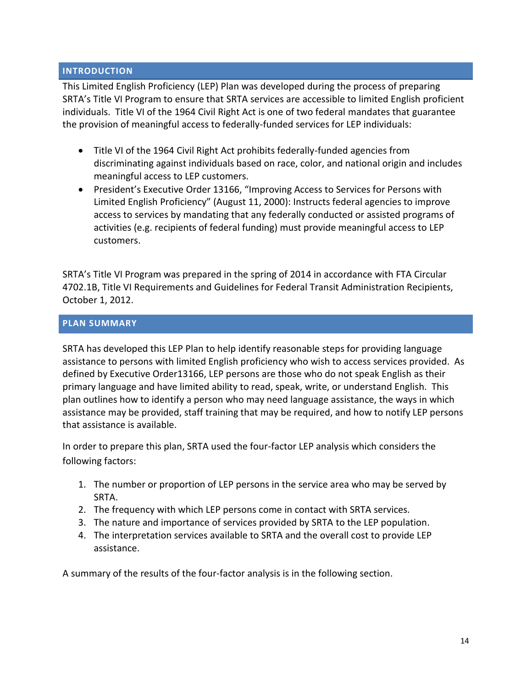## **INTRODUCTION**

This Limited English Proficiency (LEP) Plan was developed during the process of preparing SRTA's Title VI Program to ensure that SRTA services are accessible to limited English proficient individuals. Title VI of the 1964 Civil Right Act is one of two federal mandates that guarantee the provision of meaningful access to federally-funded services for LEP individuals:

- Title VI of the 1964 Civil Right Act prohibits federally-funded agencies from discriminating against individuals based on race, color, and national origin and includes meaningful access to LEP customers.
- President's Executive Order 13166, "Improving Access to Services for Persons with Limited English Proficiency" (August 11, 2000): Instructs federal agencies to improve access to services by mandating that any federally conducted or assisted programs of activities (e.g. recipients of federal funding) must provide meaningful access to LEP customers.

SRTA's Title VI Program was prepared in the spring of 2014 in accordance with FTA Circular 4702.1B, Title VI Requirements and Guidelines for Federal Transit Administration Recipients, October 1, 2012.

## **PLAN SUMMARY**

SRTA has developed this LEP Plan to help identify reasonable steps for providing language assistance to persons with limited English proficiency who wish to access services provided. As defined by Executive Order13166, LEP persons are those who do not speak English as their primary language and have limited ability to read, speak, write, or understand English. This plan outlines how to identify a person who may need language assistance, the ways in which assistance may be provided, staff training that may be required, and how to notify LEP persons that assistance is available.

In order to prepare this plan, SRTA used the four-factor LEP analysis which considers the following factors:

- 1. The number or proportion of LEP persons in the service area who may be served by SRTA.
- 2. The frequency with which LEP persons come in contact with SRTA services.
- 3. The nature and importance of services provided by SRTA to the LEP population.
- 4. The interpretation services available to SRTA and the overall cost to provide LEP assistance.

A summary of the results of the four-factor analysis is in the following section.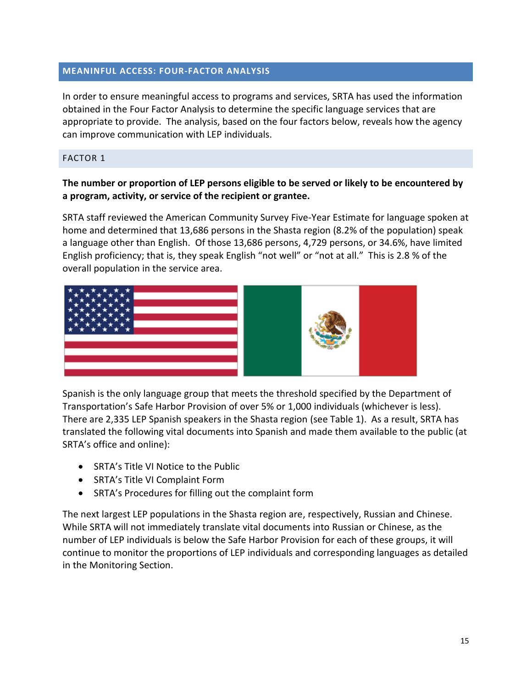## **MEANINFUL ACCESS: FOUR-FACTOR ANALYSIS**

In order to ensure meaningful access to programs and services, SRTA has used the information obtained in the Four Factor Analysis to determine the specific language services that are appropriate to provide. The analysis, based on the four factors below, reveals how the agency can improve communication with LEP individuals.

#### FACTOR 1

# **The number or proportion of LEP persons eligible to be served or likely to be encountered by a program, activity, or service of the recipient or grantee.**

SRTA staff reviewed the American Community Survey Five-Year Estimate for language spoken at home and determined that 13,686 persons in the Shasta region (8.2% of the population) speak a language other than English. Of those 13,686 persons, 4,729 persons, or 34.6%, have limited English proficiency; that is, they speak English "not well" or "not at all." This is 2.8 % of the overall population in the service area.



Spanish is the only language group that meets the threshold specified by the Department of Transportation's Safe Harbor Provision of over 5% or 1,000 individuals (whichever is less). There are 2,335 LEP Spanish speakers in the Shasta region (see Table 1). As a result, SRTA has translated the following vital documents into Spanish and made them available to the public (at SRTA's office and online):

- SRTA's Title VI Notice to the Public
- SRTA's Title VI Complaint Form
- SRTA's Procedures for filling out the complaint form

The next largest LEP populations in the Shasta region are, respectively, Russian and Chinese. While SRTA will not immediately translate vital documents into Russian or Chinese, as the number of LEP individuals is below the Safe Harbor Provision for each of these groups, it will continue to monitor the proportions of LEP individuals and corresponding languages as detailed in the Monitoring Section.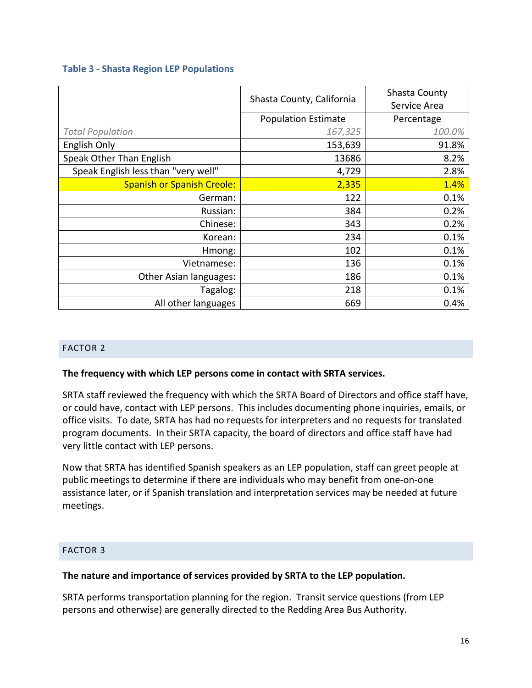## **Table 3 - Shasta Region LEP Populations**

|                                     | Shasta County, California  | Shasta County<br>Service Area |
|-------------------------------------|----------------------------|-------------------------------|
|                                     | <b>Population Estimate</b> | Percentage                    |
| <b>Total Population</b>             | 167,325                    | 100.0%                        |
| English Only                        | 153,639                    | 91.8%                         |
| Speak Other Than English            | 13686                      | 8.2%                          |
| Speak English less than "very well" | 4,729                      | 2.8%                          |
| <b>Spanish or Spanish Creole:</b>   | 2,335                      | 1.4%                          |
| German:                             | 122                        | 0.1%                          |
| Russian:                            | 384                        | 0.2%                          |
| Chinese:                            | 343                        | 0.2%                          |
| Korean:                             | 234                        | 0.1%                          |
| Hmong:                              | 102                        | 0.1%                          |
| Vietnamese:                         | 136                        | 0.1%                          |
| Other Asian languages:              | 186                        | 0.1%                          |
| Tagalog:                            | 218                        | 0.1%                          |
| All other languages                 | 669                        | 0.4%                          |

## FACTOR 2

#### **The frequency with which LEP persons come in contact with SRTA services.**

SRTA staff reviewed the frequency with which the SRTA Board of Directors and office staff have, or could have, contact with LEP persons. This includes documenting phone inquiries, emails, or office visits. To date, SRTA has had no requests for interpreters and no requests for translated program documents. In their SRTA capacity, the board of directors and office staff have had very little contact with LEP persons.

Now that SRTA has identified Spanish speakers as an LEP population, staff can greet people at public meetings to determine if there are individuals who may benefit from one-on-one assistance later, or if Spanish translation and interpretation services may be needed at future meetings.

# FACTOR 3

#### **The nature and importance of services provided by SRTA to the LEP population.**

SRTA performs transportation planning for the region. Transit service questions (from LEP persons and otherwise) are generally directed to the Redding Area Bus Authority.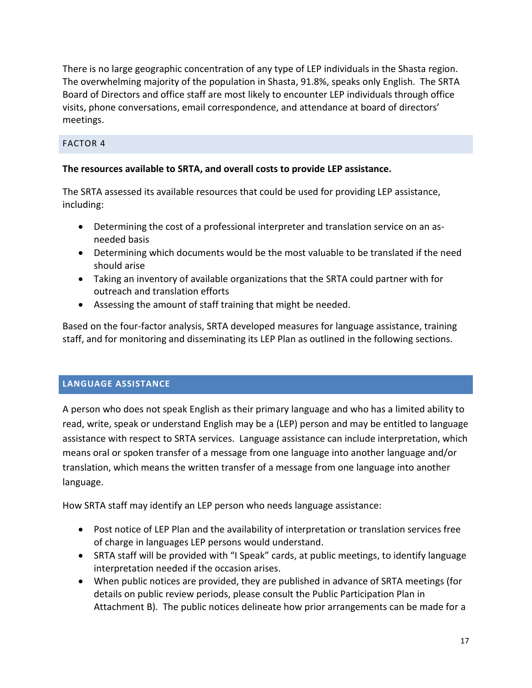There is no large geographic concentration of any type of LEP individuals in the Shasta region. The overwhelming majority of the population in Shasta, 91.8%, speaks only English. The SRTA Board of Directors and office staff are most likely to encounter LEP individuals through office visits, phone conversations, email correspondence, and attendance at board of directors' meetings.

# FACTOR 4

# **The resources available to SRTA, and overall costs to provide LEP assistance.**

The SRTA assessed its available resources that could be used for providing LEP assistance, including:

- Determining the cost of a professional interpreter and translation service on an asneeded basis
- Determining which documents would be the most valuable to be translated if the need should arise
- Taking an inventory of available organizations that the SRTA could partner with for outreach and translation efforts
- Assessing the amount of staff training that might be needed.

Based on the four-factor analysis, SRTA developed measures for language assistance, training staff, and for monitoring and disseminating its LEP Plan as outlined in the following sections.

## **LANGUAGE ASSISTANCE**

A person who does not speak English as their primary language and who has a limited ability to read, write, speak or understand English may be a (LEP) person and may be entitled to language assistance with respect to SRTA services. Language assistance can include interpretation, which means oral or spoken transfer of a message from one language into another language and/or translation, which means the written transfer of a message from one language into another language.

How SRTA staff may identify an LEP person who needs language assistance:

- Post notice of LEP Plan and the availability of interpretation or translation services free of charge in languages LEP persons would understand.
- SRTA staff will be provided with "I Speak" cards, at public meetings, to identify language interpretation needed if the occasion arises.
- When public notices are provided, they are published in advance of SRTA meetings (for details on public review periods, please consult the Public Participation Plan in Attachment B). The public notices delineate how prior arrangements can be made for a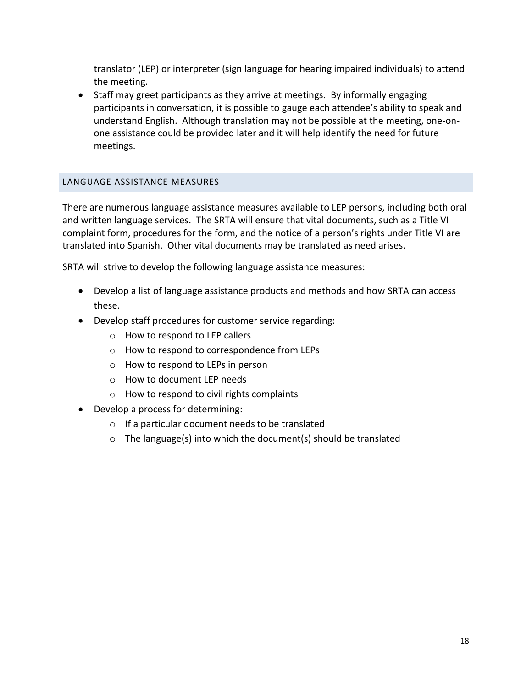translator (LEP) or interpreter (sign language for hearing impaired individuals) to attend the meeting.

• Staff may greet participants as they arrive at meetings. By informally engaging participants in conversation, it is possible to gauge each attendee's ability to speak and understand English. Although translation may not be possible at the meeting, one-onone assistance could be provided later and it will help identify the need for future meetings.

## LANGUAGE ASSISTANCE MEASURES

There are numerous language assistance measures available to LEP persons, including both oral and written language services. The SRTA will ensure that vital documents, such as a Title VI complaint form, procedures for the form, and the notice of a person's rights under Title VI are translated into Spanish. Other vital documents may be translated as need arises.

SRTA will strive to develop the following language assistance measures:

- Develop a list of language assistance products and methods and how SRTA can access these.
- Develop staff procedures for customer service regarding:
	- o How to respond to LEP callers
	- o How to respond to correspondence from LEPs
	- o How to respond to LEPs in person
	- o How to document LEP needs
	- o How to respond to civil rights complaints
- Develop a process for determining:
	- o If a particular document needs to be translated
	- $\circ$  The language(s) into which the document(s) should be translated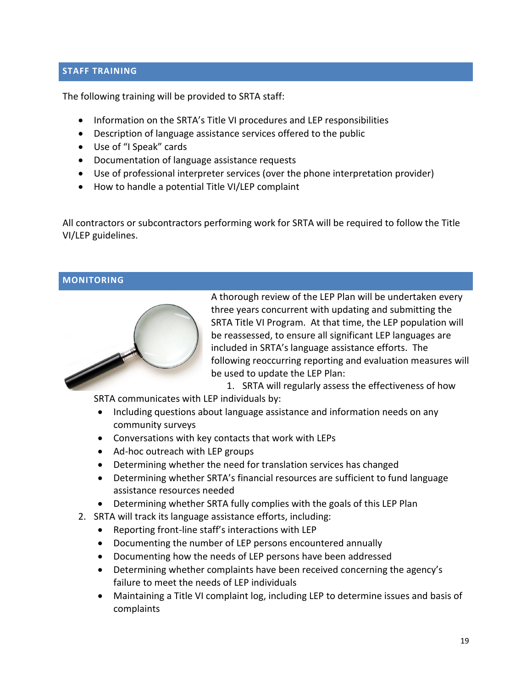## **STAFF TRAINING**

The following training will be provided to SRTA staff:

- Information on the SRTA's Title VI procedures and LEP responsibilities
- Description of language assistance services offered to the public
- Use of "I Speak" cards
- Documentation of language assistance requests
- Use of professional interpreter services (over the phone interpretation provider)
- How to handle a potential Title VI/LEP complaint

All contractors or subcontractors performing work for SRTA will be required to follow the Title VI/LEP guidelines.

#### **MONITORING**



A thorough review of the LEP Plan will be undertaken every three years concurrent with updating and submitting the SRTA Title VI Program. At that time, the LEP population will be reassessed, to ensure all significant LEP languages are included in SRTA's language assistance efforts. The following reoccurring reporting and evaluation measures will be used to update the LEP Plan:

1. SRTA will regularly assess the effectiveness of how

SRTA communicates with LEP individuals by:

- Including questions about language assistance and information needs on any community surveys
- Conversations with key contacts that work with LEPs
- Ad-hoc outreach with LEP groups
- Determining whether the need for translation services has changed
- Determining whether SRTA's financial resources are sufficient to fund language assistance resources needed
- Determining whether SRTA fully complies with the goals of this LEP Plan
- 2. SRTA will track its language assistance efforts, including:
	- Reporting front-line staff's interactions with LEP
	- Documenting the number of LEP persons encountered annually
	- Documenting how the needs of LEP persons have been addressed
	- Determining whether complaints have been received concerning the agency's failure to meet the needs of LEP individuals
	- Maintaining a Title VI complaint log, including LEP to determine issues and basis of complaints